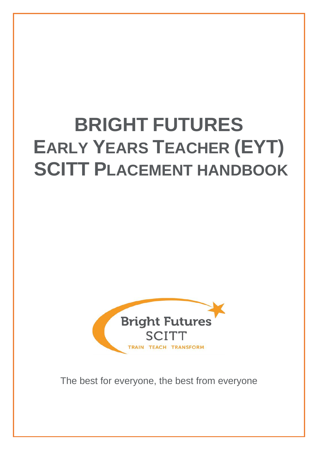# **BRIGHT FUTURES EARLY YEARS TEACHER (EYT) SCITT PLACEMENT HANDBOOK**



The best for everyone, the best from everyone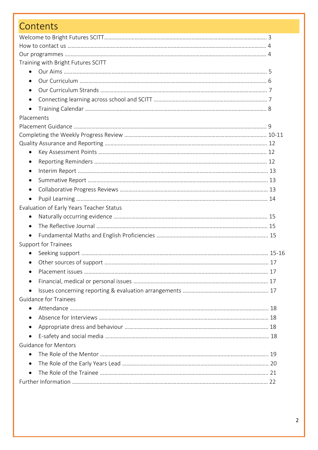| Contents                                 |  |
|------------------------------------------|--|
|                                          |  |
|                                          |  |
|                                          |  |
| Training with Bright Futures SCITT       |  |
| $\bullet$                                |  |
|                                          |  |
|                                          |  |
| $\bullet$                                |  |
| $\bullet$                                |  |
| Placements                               |  |
|                                          |  |
|                                          |  |
|                                          |  |
| $\bullet$                                |  |
|                                          |  |
| $\bullet$                                |  |
| $\bullet$                                |  |
| $\bullet$                                |  |
| $\bullet$                                |  |
| Evaluation of Early Years Teacher Status |  |
| $\bullet$                                |  |
| $\bullet$                                |  |
| $\bullet$                                |  |
| <b>Support for Trainees</b>              |  |
|                                          |  |
|                                          |  |
|                                          |  |
| $\bullet$                                |  |
| $\bullet$                                |  |
| <b>Guidance for Trainees</b>             |  |
|                                          |  |
|                                          |  |
|                                          |  |
| $\bullet$                                |  |
| <b>Guidance for Mentors</b>              |  |
|                                          |  |
|                                          |  |
|                                          |  |
|                                          |  |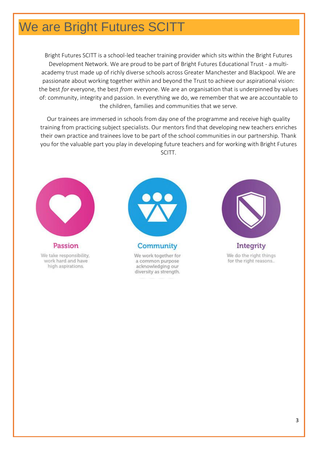# We are Bright Futures SCITT

Bright Futures SCITT is a school-led teacher training provider which sits within the Bright Futures Development Network. We are proud to be part of Bright Futures Educational Trust - a multiacademy trust made up of richly diverse schools across Greater Manchester and Blackpool. We are passionate about working together within and beyond the Trust to achieve our aspirational vision: the best *for* everyone, the best *from* everyone. We are an organisation that is underpinned by values of: community, integrity and passion. In everything we do, we remember that we are accountable to the children, families and communities that we serve.

Our trainees are immersed in schools from day one of the programme and receive high quality training from practicing subject specialists. Our mentors find that developing new teachers enriches their own practice and trainees love to be part of the school communities in our partnership. Thank you for the valuable part you play in developing future teachers and for working with Bright Futures SCITT.



Passion We take responsibility. work hard and have

high aspirations.



We work together for a common purpose acknowledging our diversity as strength.



Integrity We do the right things for the right reasons..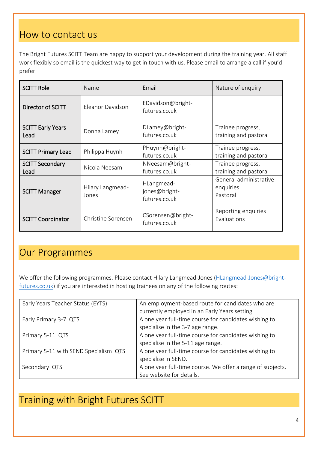### How to contact us

The Bright Futures SCITT Team are happy to support your development during the training year. All staff work flexibly so email is the quickest way to get in touch with us. Please email to arrange a call if you'd prefer.

| <b>SCITT Role</b>                | Name                      | Email                                        | Nature of enquiry                               |
|----------------------------------|---------------------------|----------------------------------------------|-------------------------------------------------|
| Director of SCITT                | Eleanor Davidson          | EDavidson@bright-<br>futures.co.uk           |                                                 |
| <b>SCITT Early Years</b><br>Lead | Donna Lamey               | DLamey@bright-<br>futures.co.uk              | Trainee progress,<br>training and pastoral      |
| <b>SCITT Primary Lead</b>        | Philippa Huynh            | PHuynh@bright-<br>futures.co.uk              | Trainee progress,<br>training and pastoral      |
| <b>SCITT Secondary</b><br>Lead   | Nicola Neesam             | NNeesam@bright-<br>futures.co.uk             | Trainee progress,<br>training and pastoral      |
| <b>SCITT Manager</b>             | Hilary Langmead-<br>Jones | HLangmead-<br>jones@bright-<br>futures.co.uk | General administrative<br>enquiries<br>Pastoral |
| <b>SCITT Coordinator</b>         | Christine Sorensen        | CSorensen@bright-<br>futures.co.uk           | Reporting enquiries<br>Evaluations              |

### Our Programmes

We offer the following programmes. Please contact Hilary Langmead-Jones [\(HLangmead-Jones@bright](mailto:HLangmead-Jones@bright-futures.co.uk)[futures.co.uk\)](mailto:HLangmead-Jones@bright-futures.co.uk) if you are interested in hosting trainees on any of the following routes:

| Early Years Teacher Status (EYTS)     | An employment-based route for candidates who are           |
|---------------------------------------|------------------------------------------------------------|
|                                       | currently employed in an Early Years setting               |
| Early Primary 3-7 QTS                 | A one year full-time course for candidates wishing to      |
|                                       | specialise in the 3-7 age range.                           |
| Primary 5-11 QTS                      | A one year full-time course for candidates wishing to      |
|                                       | specialise in the 5-11 age range.                          |
| Primary 5-11 with SEND Specialism QTS | A one year full-time course for candidates wishing to      |
|                                       | specialise in SEND.                                        |
| Secondary QTS                         | A one year full-time course. We offer a range of subjects. |
|                                       | See website for details.                                   |

# Training with Bright Futures SCITT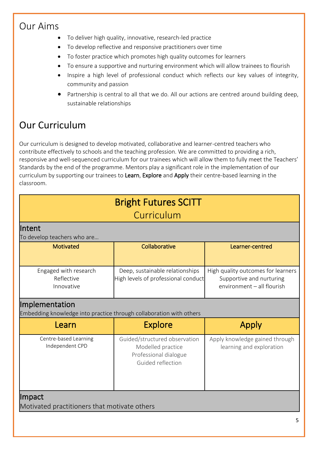### Our Aims

- To deliver high quality, innovative, research-led practice
- To develop reflective and responsive practitioners over time
- To foster practice which promotes high quality outcomes for learners
- To ensure a supportive and nurturing environment which will allow trainees to flourish
- Inspire a high level of professional conduct which reflects our key values of integrity, community and passion
- Partnership is central to all that we do. All our actions are centred around building deep, sustainable relationships

# Our Curriculum

Our curriculum is designed to develop motivated, collaborative and learner-centred teachers who contribute effectively to schools and the teaching profession. We are committed to providing a rich, responsive and well-sequenced curriculum for our trainees which will allow them to fully meet the Teachers' Standards by the end of the programme. Mentors play a significant role in the implementation of our curriculum by supporting our trainees to Learn, Explore and Apply their centre-based learning in the classroom.

| <b>Bright Futures SCITT</b><br>Curriculum                                             |                                                                                                  |                                                                                              |  |  |
|---------------------------------------------------------------------------------------|--------------------------------------------------------------------------------------------------|----------------------------------------------------------------------------------------------|--|--|
| llntent<br>To develop teachers who are                                                |                                                                                                  |                                                                                              |  |  |
| <b>Motivated</b>                                                                      | Collaborative                                                                                    | Learner-centred                                                                              |  |  |
| Engaged with research<br>Reflective<br>Innovative                                     | Deep, sustainable relationships<br>High levels of professional conduct                           | High quality outcomes for learners<br>Supportive and nurturing<br>environment - all flourish |  |  |
| Implementation<br>Embedding knowledge into practice through collaboration with others |                                                                                                  |                                                                                              |  |  |
| Learn                                                                                 | <b>Explore</b>                                                                                   | Apply                                                                                        |  |  |
| Centre-based Learning<br>Independent CPD                                              | Guided/structured observation<br>Modelled practice<br>Professional dialogue<br>Guided reflection | Apply knowledge gained through<br>learning and exploration                                   |  |  |
| <b>Impact</b><br>Motivated practitioners that motivate others                         |                                                                                                  |                                                                                              |  |  |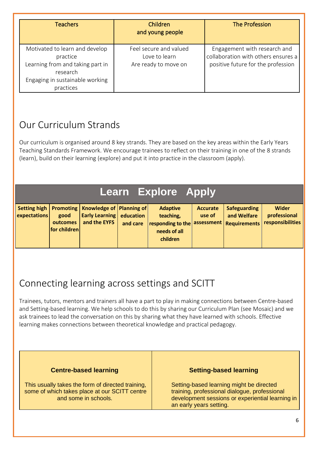| <b>Teachers</b>                                                                                                                            | Children<br>and young people                                    | The Profession                                                                                            |
|--------------------------------------------------------------------------------------------------------------------------------------------|-----------------------------------------------------------------|-----------------------------------------------------------------------------------------------------------|
| Motivated to learn and develop<br>practice<br>Learning from and taking part in<br>research<br>Engaging in sustainable working<br>practices | Feel secure and valued<br>Love to learn<br>Are ready to move on | Engagement with research and<br>collaboration with others ensures a<br>positive future for the profession |

# Our Curriculum Strands

Our curriculum is organised around 8 key strands. They are based on the key areas within the Early Years Teaching Standards Framework. We encourage trainees to reflect on their training in one of the 8 strands (learn), build on their learning (explore) and put it into practice in the classroom (apply).

# **Learn Explore Apply**

| expectations | good<br>outcomes<br>for children | Setting high   Promoting   Knowledge of   Planning of  <br><b>Early Learning education</b><br>and the EYFS | and care | <b>Adaptive</b><br>teaching,<br>$\vert$ responding to the $\vert$ assessment $\vert$ Requirements $\vert$<br>needs of all | <b>Accurate</b><br>use of | <b>Safeguarding</b><br>and Welfare | Wider<br>professional<br><b>responsibilities</b> |
|--------------|----------------------------------|------------------------------------------------------------------------------------------------------------|----------|---------------------------------------------------------------------------------------------------------------------------|---------------------------|------------------------------------|--------------------------------------------------|
|              |                                  |                                                                                                            |          | children                                                                                                                  |                           |                                    |                                                  |

# Connecting learning across settings and SCITT

Trainees, tutors, mentors and trainers all have a part to play in making connections between Centre-based and Setting-based learning. We help schools to do this by sharing our Curriculum Plan (see Mosaic) and we ask trainees to lead the conversation on this by sharing what they have learned with schools. Effective learning makes connections between theoretical knowledge and practical pedagogy.

#### **Centre-based learning**

This usually takes the form of directed training, some of which takes place at our SCITT centre and some in schools.

#### **Setting-based learning**

Setting-based learning might be directed training, professional dialogue, professional development sessions or experiential learning in an early years setting.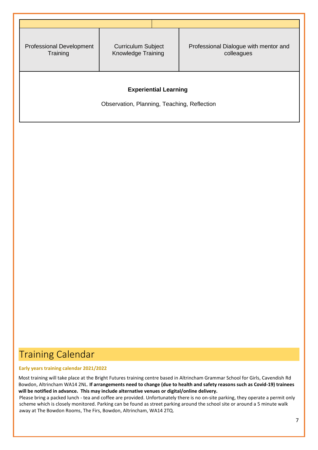| <b>Professional Development</b><br>Training | <b>Curriculum Subject</b><br>Knowledge Training | Professional Dialogue with mentor and<br>colleagues |  |  |
|---------------------------------------------|-------------------------------------------------|-----------------------------------------------------|--|--|
|                                             |                                                 |                                                     |  |  |
| <b>Experiential Learning</b>                |                                                 |                                                     |  |  |
| Observation, Planning, Teaching, Reflection |                                                 |                                                     |  |  |
|                                             |                                                 |                                                     |  |  |

# Training Calendar

#### **Early years training calendar 2021/2022**

 Most training will take place at the Bright Futures training centre based in Altrincham Grammar School for Girls, Cavendish Rd Bowdon, Altrincham WA14 2NL. **If arrangements need to change (due to health and safety reasons such as Covid-19) trainees will be notified in advance. This may include alternative venues or digital/online delivery.**

Please bring a packed lunch - tea and coffee are provided. Unfortunately there is no on-site parking, they operate a permit only scheme which is closely monitored. Parking can be found as street parking around the school site or around a 5 minute walk away at The Bowdon Rooms, The Firs, Bowdon, Altrincham, WA14 2TQ.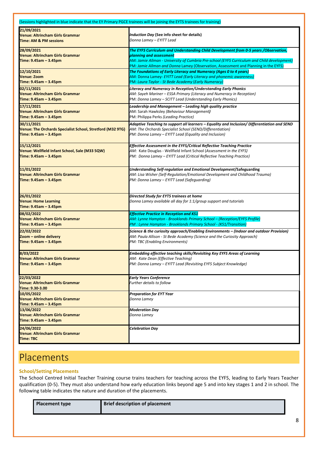| (Sessions highlighted in blue indicate that the EY Primary PGCE trainees will be joining the EYTS trainees for training) |                                                                                                                                                                                                                                                                                                       |
|--------------------------------------------------------------------------------------------------------------------------|-------------------------------------------------------------------------------------------------------------------------------------------------------------------------------------------------------------------------------------------------------------------------------------------------------|
| 21/09/2021<br><b>Venue: Altrincham Girls Grammar</b><br><b>Time: AM &amp; PM sessions</b>                                | Induction Day (See info sheet for details)<br>Donna Lamey – EYITT Lead                                                                                                                                                                                                                                |
| 28/09/2021<br><b>Venue: Altrincham Girls Grammar</b><br>Time: 9.45am - 3.45pm                                            | The EYFS Curriculum and Understanding Child Development from 0-5 years /Observation,<br>planning and assessment<br>AM: Jamie Allman - University of Cumbria Pre-school (EYFS Curriculum and Child development)<br>PM: Jamie Allman and Donna Lamey (Observation, Assessment and Planning in the EYFS) |
| 12/10/2021                                                                                                               | The Foundations of Early Literacy and Numeracy (Ages 0 to 4 years)                                                                                                                                                                                                                                    |
| <b>Venue: Zoom</b>                                                                                                       | AM: Donna Lamey- EYITT Lead (Early Literacy and phonemic awareness)                                                                                                                                                                                                                                   |
| Time: 9.45am - 3.45pm                                                                                                    | PM: Laura Taylor - St Bede Academy (Early Numeracy)                                                                                                                                                                                                                                                   |
| 02/11/2021                                                                                                               | Literacy and Numeracy in Reception/Understanding Early Phonics                                                                                                                                                                                                                                        |
| <b>Venue: Altrincham Girls Grammar</b>                                                                                   | AM: Sayeh Mariner – ESSA Primary (Literacy and Numeracy in Reception)                                                                                                                                                                                                                                 |
| Time: 9.45am - 3.45pm                                                                                                    | PM: Donna Lamey – SCITT Lead (Understanding Early Phonics)                                                                                                                                                                                                                                            |
| 17/11/2021                                                                                                               | Leadership and Management – Leading high quality practice                                                                                                                                                                                                                                             |
| <b>Venue: Altrincham Girls Grammar</b>                                                                                   | AM: Sarah Hawksley (Behaviour Management)                                                                                                                                                                                                                                                             |
| Time: 9.45am - 3.45pm                                                                                                    | PM: Philippa Perks (Leading Practice)                                                                                                                                                                                                                                                                 |
| 30/11/2021                                                                                                               | Adaptive Teaching to support all learners – Equality and Inclusion/ Differentiation and SEND                                                                                                                                                                                                          |
| <b>Venue: The Orchards Specialist School, Stretford (M32 9TG)</b>                                                        | AM: The Orchards Specialist School (SEND/Differentiation)                                                                                                                                                                                                                                             |
| Time: 9.45am - 3.45pm                                                                                                    | PM: Donna Lamey - EYITT Lead (Equality and Inclusion)                                                                                                                                                                                                                                                 |
| 15/12/2021                                                                                                               | Effective Assessment in the EYFS/Critical Reflective Teaching Practice                                                                                                                                                                                                                                |
| Venue: Wellfield Infant School, Sale (M33 5QW)                                                                           | AM: Kate Douglas - Wellfield Infant School (Assessment in the EYFS)                                                                                                                                                                                                                                   |
| Time: 9.45am - 3.45pm                                                                                                    | PM: Donna Lamey - EYITT Lead (Critical Reflective Teaching Practice)                                                                                                                                                                                                                                  |
| 11/01/2022                                                                                                               | Understanding Self-regulation and Emotional Development/Safeguarding                                                                                                                                                                                                                                  |
| <b>Venue: Altrincham Girls Grammar</b>                                                                                   | AM: Lisa Wisher (Self-Regulation/Emotional Development and Childhood Trauma)                                                                                                                                                                                                                          |
| Time: 9.45am - 3.45pm                                                                                                    | PM: Donna Lamey - EYITT Lead (Safeguarding)                                                                                                                                                                                                                                                           |
| 26/01/2022<br><b>Venue: Home Learning</b><br>Time: 9.45am - 3.45pm                                                       | Directed Study for EYTS trainees at home<br>Donna Lamey available all day for 1:1/group support and tutorials                                                                                                                                                                                         |
| 08/02/2022                                                                                                               | <b>Effective Practice in Reception and KS1</b>                                                                                                                                                                                                                                                        |
| <b>Venue: Altrincham Girls Grammar</b>                                                                                   | AM: Lynne Hampton - Brooklands Primary School - (Reception/EYFS Profile)                                                                                                                                                                                                                              |
| Time: 9.45am - 3.45pm                                                                                                    | PM : Lynne Hampton - Brooklands Primary School - (KS1/Transition)                                                                                                                                                                                                                                     |
| 22/02/2022                                                                                                               | Science & the curiosity approach/Enabling Environments - (Indoor and outdoor Provision)                                                                                                                                                                                                               |
| Zoom - online delivery                                                                                                   | AM: Paula Allison - St Bede Academy (Science and the Curiosity Approach)                                                                                                                                                                                                                              |
| Time: 9.45am - 3.45pm                                                                                                    | PM: TBC (Enabling Environments)                                                                                                                                                                                                                                                                       |
| 8/03/2022                                                                                                                | Embedding effective teaching skills/Revisiting Key EYFS Areas of Learning                                                                                                                                                                                                                             |
| 'enue: Altrincham Girls Grammaı                                                                                          | AM: Kate Dean (Effective Teaching)                                                                                                                                                                                                                                                                    |
| Time: 9.45am - 3.45pm                                                                                                    | PM: Donna Lamey - EYITT Lead (Revisiting EYFS Subject Knowledge)                                                                                                                                                                                                                                      |
| 22/03/2022<br><b>Venue: Altrincham Girls Grammar</b><br>Time: 9.30-3.00                                                  | <b>Early Years Conference</b><br>Further details to follow                                                                                                                                                                                                                                            |
| 10/05/2022<br><b>Venue: Altrincham Girls Grammar</b><br>Time: 9.45am - 3.45pm                                            | <b>Preparation for EYT Year</b><br>Donna Lamey                                                                                                                                                                                                                                                        |
| 13/06/2022<br><b>Venue: Altrincham Girls Grammar</b><br>Time: 9.45am - 3.45pm                                            | Moderation Day<br>Donna Lamey                                                                                                                                                                                                                                                                         |
| 24/06/2022<br><b>Venue: Altrincham Girls Grammar</b><br>Time: TBC                                                        | Celebration Day                                                                                                                                                                                                                                                                                       |

### Placements

#### **School/Setting Placements**

The School Centred Initial Teacher Training course trains teachers for teaching across the EYFS, leading to Early Years Teacher qualification (0-5). They must also understand how early education links beyond age 5 and into key stages 1 and 2 in school. The following table indicates the nature and duration of the placements.

| <b>Placement type</b> | <b>Brief description of placement</b> |
|-----------------------|---------------------------------------|
|-----------------------|---------------------------------------|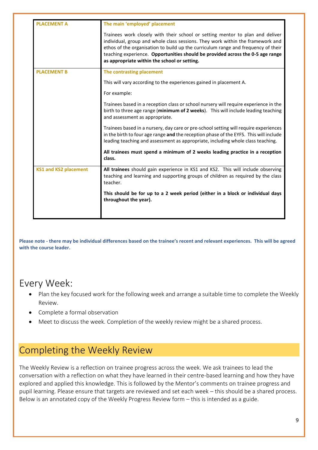| <b>PLACEMENT A</b>           | The main 'employed' placement                                                                                                                                                                                                                                                                                                                                                          |
|------------------------------|----------------------------------------------------------------------------------------------------------------------------------------------------------------------------------------------------------------------------------------------------------------------------------------------------------------------------------------------------------------------------------------|
|                              | Trainees work closely with their school or setting mentor to plan and deliver<br>individual, group and whole class sessions. They work within the framework and<br>ethos of the organisation to build up the curriculum range and frequency of their<br>teaching experience. Opportunities should be provided across the 0-5 age range<br>as appropriate within the school or setting. |
| <b>PLACEMENT B</b>           | The contrasting placement                                                                                                                                                                                                                                                                                                                                                              |
|                              | This will vary according to the experiences gained in placement A.                                                                                                                                                                                                                                                                                                                     |
|                              | For example:                                                                                                                                                                                                                                                                                                                                                                           |
|                              | Trainees based in a reception class or school nursery will require experience in the<br>birth to three age range (minimum of 2 weeks). This will include leading teaching<br>and assessment as appropriate.                                                                                                                                                                            |
|                              | Trainees based in a nursery, day care or pre-school setting will require experiences<br>in the birth to four age range and the reception phase of the EYFS. This will include<br>leading teaching and assessment as appropriate, including whole class teaching.                                                                                                                       |
|                              | All trainees must spend a minimum of 2 weeks leading practice in a reception<br>class.                                                                                                                                                                                                                                                                                                 |
| <b>KS1 and KS2 placement</b> | All trainees should gain experience in KS1 and KS2. This will include observing<br>teaching and learning and supporting groups of children as required by the class<br>teacher.                                                                                                                                                                                                        |
|                              | This should be for up to a 2 week period (either in a block or individual days<br>throughout the year).                                                                                                                                                                                                                                                                                |
|                              |                                                                                                                                                                                                                                                                                                                                                                                        |

**Please note - there may be individual differences based on the trainee's recent and relevant experiences. This will be agreed with the course leader.**

#### Every Week:

- Plan the key focused work for the following week and arrange a suitable time to complete the Weekly Review.
- Complete a formal observation
- Meet to discuss the week. Completion of the weekly review might be a shared process.

### Completing the Weekly Review

The Weekly Review is a reflection on trainee progress across the week. We ask trainees to lead the conversation with a reflection on what they have learned in their centre-based learning and how they have explored and applied this knowledge. This is followed by the Mentor's comments on trainee progress and pupil learning. Please ensure that targets are reviewed and set each week – this should be a shared process. Below is an annotated copy of the Weekly Progress Review form – this is intended as a guide.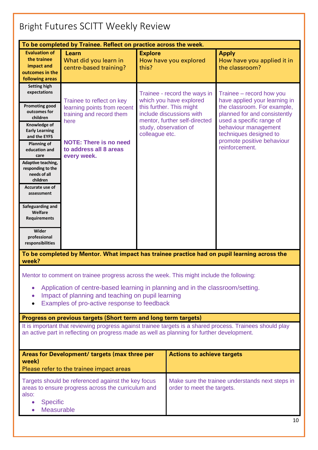# Bright Futures SCITT Weekly Review

| To be completed by Trainee. Reflect on practice across the week.                                                                                                                                                                                                                                                                                                                                            |                                                                                                                                                                        |                                                                                                                                                                                             |                                                                                                                                                                                                                                                        |  |
|-------------------------------------------------------------------------------------------------------------------------------------------------------------------------------------------------------------------------------------------------------------------------------------------------------------------------------------------------------------------------------------------------------------|------------------------------------------------------------------------------------------------------------------------------------------------------------------------|---------------------------------------------------------------------------------------------------------------------------------------------------------------------------------------------|--------------------------------------------------------------------------------------------------------------------------------------------------------------------------------------------------------------------------------------------------------|--|
| <b>Evaluation of</b><br>the trainee<br>impact and<br>outcomes in the<br>following areas                                                                                                                                                                                                                                                                                                                     | Learn<br>What did you learn in<br>centre-based training?                                                                                                               | <b>Explore</b><br>How have you explored<br>this?                                                                                                                                            | <b>Apply</b><br>How have you applied it in<br>the classroom?                                                                                                                                                                                           |  |
| <b>Setting high</b><br>expectations<br><b>Promoting good</b><br>outcomes for<br>children<br>Knowledge of<br><b>Early Learning</b><br>and the EYFS<br><b>Planning of</b><br>education and<br>care<br>Adaptive teaching,<br>responding to the<br>needs of all<br>children<br>Accurate use of<br>assessment<br>Safeguarding and<br>Welfare<br><b>Requirements</b><br>Wider<br>professional<br>responsibilities | Trainee to reflect on key<br>learning points from recent<br>training and record them<br>here<br><b>NOTE: There is no need</b><br>to address all 8 areas<br>every week. | Trainee - record the ways in<br>which you have explored<br>this further. This might<br>include discussions with<br>mentor, further self-directed<br>study, observation of<br>colleague etc. | Trainee - record how you<br>have applied your learning in<br>the classroom. For example,<br>planned for and consistently<br>used a specific range of<br>behaviour management<br>techniques designed to<br>promote positive behaviour<br>reinforcement. |  |
| To be completed by Mentor. What impact has trainee practice had on pupil learning across the<br>week?                                                                                                                                                                                                                                                                                                       |                                                                                                                                                                        |                                                                                                                                                                                             |                                                                                                                                                                                                                                                        |  |
| Mentor to comment on trainee progress across the week. This might include the following:<br>Application of centre-based learning in planning and in the classroom/setting.                                                                                                                                                                                                                                  |                                                                                                                                                                        |                                                                                                                                                                                             |                                                                                                                                                                                                                                                        |  |

- Impact of planning and teaching on pupil learning
- Examples of pro-active response to feedback

#### **Progress on previous targets (Short term and long term targets)**

It is important that reviewing progress against trainee targets is a shared process. Trainees should play an active part in reflecting on progress made as well as planning for further development.

| Areas for Development/ targets (max three per<br>week)<br>Please refer to the trainee impact areas                                                                     | <b>Actions to achieve targets</b>                                             |
|------------------------------------------------------------------------------------------------------------------------------------------------------------------------|-------------------------------------------------------------------------------|
| Targets should be referenced against the key focus<br>areas to ensure progress across the curriculum and<br>also:<br><b>Specific</b><br>$\bullet$<br><b>Measurable</b> | Make sure the trainee understands next steps in<br>order to meet the targets. |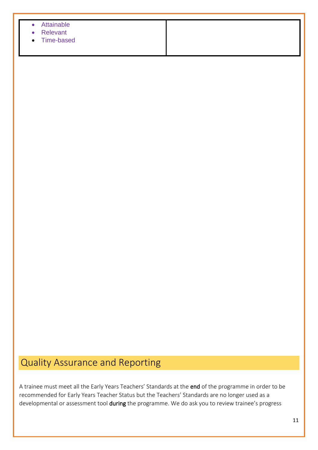| Attainable<br>$\bullet$ |  |  |
|-------------------------|--|--|
| Relevant<br>$\bullet$   |  |  |
| • Time-based            |  |  |
|                         |  |  |
|                         |  |  |

# Quality Assurance and Reporting

A trainee must meet all the Early Years Teachers' Standards at the end of the programme in order to be recommended for Early Years Teacher Status but the Teachers' Standards are no longer used as a developmental or assessment tool during the programme. We do ask you to review trainee's progress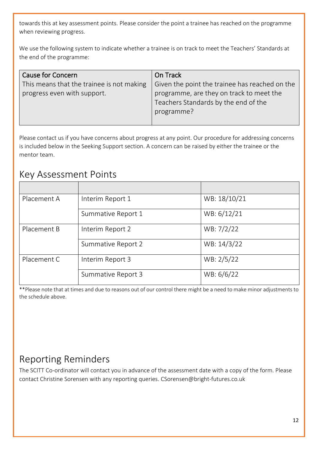towards this at key assessment points. Please consider the point a trainee has reached on the programme when reviewing progress.

We use the following system to indicate whether a trainee is on track to meet the Teachers' Standards at the end of the programme:

| <b>Cause for Concern</b>                  | On Track                                       |
|-------------------------------------------|------------------------------------------------|
| This means that the trainee is not making | Given the point the trainee has reached on the |
| progress even with support.               | programme, are they on track to meet the       |
|                                           | Teachers Standards by the end of the           |
|                                           | programme?                                     |
|                                           |                                                |

Please contact us if you have concerns about progress at any point. Our procedure for addressing concerns is included below in the Seeking Support section. A concern can be raised by either the trainee or the mentor team.

#### Key Assessment Points

| Placement A | Interim Report 1   | WB: 18/10/21 |
|-------------|--------------------|--------------|
|             | Summative Report 1 | WB: 6/12/21  |
| Placement B | Interim Report 2   | WB: 7/2/22   |
|             | Summative Report 2 | WB: 14/3/22  |
| Placement C | Interim Report 3   | WB: 2/5/22   |
|             | Summative Report 3 | WB: 6/6/22   |

\*\*Please note that at times and due to reasons out of our control there might be a need to make minor adjustments to the schedule above.

# Reporting Reminders

The SCITT Co-ordinator will contact you in advance of the assessment date with a copy of the form. Please contact Christine Sorensen with any reporting queries. CSorensen@bright-futures.co.uk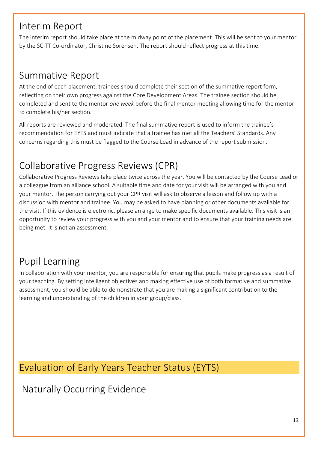### Interim Report

The interim report should take place at the midway point of the placement. This will be sent to your mentor by the SCITT Co-ordinator, Christine Sorensen. The report should reflect progress at this time.

### Summative Report

At the end of each placement, trainees should complete their section of the summative report form, reflecting on their own progress against the Core Development Areas. The trainee section should be completed and sent to the mentor *one week* before the final mentor meeting allowing time for the mentor to complete his/her section.

All reports are reviewed and moderated. The final summative report is used to inform the trainee's recommendation for EYTS and must indicate that a trainee has met all the Teachers' Standards. Any concerns regarding this must be flagged to the Course Lead in advance of the report submission.

# Collaborative Progress Reviews (CPR)

Collaborative Progress Reviews take place twice across the year. You will be contacted by the Course Lead or a colleague from an alliance school. A suitable time and date for your visit will be arranged with you and your mentor. The person carrying out your CPR visit will ask to observe a lesson and follow up with a discussion with mentor and trainee. You may be asked to have planning or other documents available for the visit. If this evidence is electronic, please arrange to make specific documents available. This visit is an opportunity to review your progress with you and your mentor and to ensure that your training needs are being met. It is not an assessment.

# Pupil Learning

In collaboration with your mentor, you are responsible for ensuring that pupils make progress as a result of your teaching. By setting intelligent objectives and making effective use of both formative and summative assessment, you should be able to demonstrate that you are making a significant contribution to the learning and understanding of the children in your group/class.

# Evaluation of Early Years Teacher Status (EYTS)

Naturally Occurring Evidence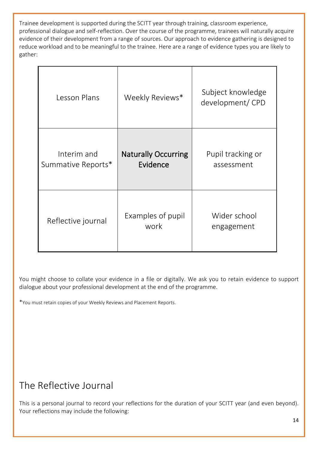Trainee development is supported during the SCITT year through training, classroom experience, professional dialogue and self-reflection. Over the course of the programme, trainees will naturally acquire evidence of their development from a range of sources. Our approach to evidence gathering is designed to reduce workload and to be meaningful to the trainee. Here are a range of evidence types you are likely to gather:

| Lesson Plans                      | Weekly Reviews*                        | Subject knowledge<br>development/CPD |
|-----------------------------------|----------------------------------------|--------------------------------------|
| Interim and<br>Summative Reports* | <b>Naturally Occurring</b><br>Evidence | Pupil tracking or<br>assessment      |
| Reflective journal                | Examples of pupil<br>work              | Wider school<br>engagement           |

You might choose to collate your evidence in a file or digitally. We ask you to retain evidence to support dialogue about your professional development at the end of the programme.

\*You must retain copies of your Weekly Reviews and Placement Reports.

### The Reflective Journal

This is a personal journal to record your reflections for the duration of your SCITT year (and even beyond). Your reflections may include the following: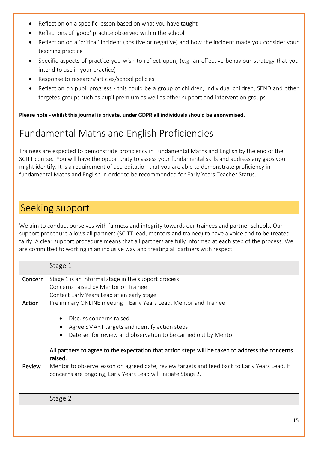- Reflection on a specific lesson based on what you have taught
- Reflections of 'good' practice observed within the school
- Reflection on a 'critical' incident (positive or negative) and how the incident made you consider your teaching practice
- Specific aspects of practice you wish to reflect upon, (e.g. an effective behaviour strategy that you intend to use in your practice)
- Response to research/articles/school policies
- Reflection on pupil progress this could be a group of children, individual children, SEND and other targeted groups such as pupil premium as well as other support and intervention groups

**Please note - whilst this journal is private, under GDPR all individuals should be anonymised.** 

# Fundamental Maths and English Proficiencies

Trainees are expected to demonstrate proficiency in Fundamental Maths and English by the end of the SCITT course. You will have the opportunity to assess your fundamental skills and address any gaps you might identify. It is a requirement of accreditation that you are able to demonstrate proficiency in fundamental Maths and English in order to be recommended for Early Years Teacher Status.

### Seeking support

We aim to conduct ourselves with fairness and integrity towards our trainees and partner schools. Our support procedure allows all partners (SCITT lead, mentors and trainee) to have a voice and to be treated fairly. A clear support procedure means that all partners are fully informed at each step of the process. We are committed to working in an inclusive way and treating all partners with respect.

|         | Stage 1                                                                                          |  |  |  |
|---------|--------------------------------------------------------------------------------------------------|--|--|--|
| Concern | Stage 1 is an informal stage in the support process                                              |  |  |  |
|         | Concerns raised by Mentor or Trainee                                                             |  |  |  |
|         | Contact Early Years Lead at an early stage                                                       |  |  |  |
| Action  | Preliminary ONLINE meeting – Early Years Lead, Mentor and Trainee                                |  |  |  |
|         |                                                                                                  |  |  |  |
|         | Discuss concerns raised.                                                                         |  |  |  |
|         | Agree SMART targets and identify action steps                                                    |  |  |  |
|         | Date set for review and observation to be carried out by Mentor                                  |  |  |  |
|         |                                                                                                  |  |  |  |
|         | All partners to agree to the expectation that action steps will be taken to address the concerns |  |  |  |
|         | raised.                                                                                          |  |  |  |
| Review  | Mentor to observe lesson on agreed date, review targets and feed back to Early Years Lead. If    |  |  |  |
|         | concerns are ongoing, Early Years Lead will initiate Stage 2.                                    |  |  |  |
|         |                                                                                                  |  |  |  |
|         |                                                                                                  |  |  |  |
|         | Stage 2                                                                                          |  |  |  |
|         |                                                                                                  |  |  |  |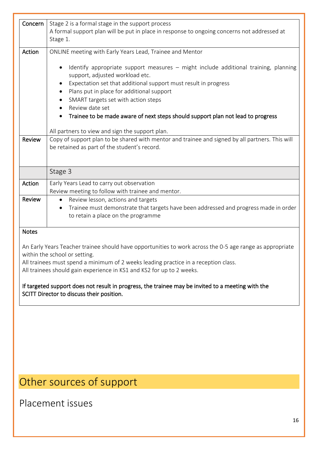| Concern       | Stage 2 is a formal stage in the support process                                                                                                |  |  |  |
|---------------|-------------------------------------------------------------------------------------------------------------------------------------------------|--|--|--|
|               | A formal support plan will be put in place in response to ongoing concerns not addressed at                                                     |  |  |  |
|               | Stage 1.                                                                                                                                        |  |  |  |
| Action        | ONLINE meeting with Early Years Lead, Trainee and Mentor                                                                                        |  |  |  |
|               | Identify appropriate support measures - might include additional training, planning<br>support, adjusted workload etc.                          |  |  |  |
|               | Expectation set that additional support must result in progress                                                                                 |  |  |  |
|               | Plans put in place for additional support                                                                                                       |  |  |  |
|               | SMART targets set with action steps                                                                                                             |  |  |  |
|               | Review date set                                                                                                                                 |  |  |  |
|               | Trainee to be made aware of next steps should support plan not lead to progress                                                                 |  |  |  |
|               |                                                                                                                                                 |  |  |  |
|               | All partners to view and sign the support plan.                                                                                                 |  |  |  |
| <b>Review</b> | Copy of support plan to be shared with mentor and trainee and signed by all partners. This will<br>be retained as part of the student's record. |  |  |  |
|               |                                                                                                                                                 |  |  |  |
|               | Stage 3                                                                                                                                         |  |  |  |
| Action        | Early Years Lead to carry out observation                                                                                                       |  |  |  |
|               | Review meeting to follow with trainee and mentor.                                                                                               |  |  |  |
| Review        | Review lesson, actions and targets<br>$\bullet$                                                                                                 |  |  |  |
|               | Trainee must demonstrate that targets have been addressed and progress made in order<br>$\bullet$                                               |  |  |  |
|               | to retain a place on the programme                                                                                                              |  |  |  |
|               |                                                                                                                                                 |  |  |  |
| <b>Notes</b>  |                                                                                                                                                 |  |  |  |
|               |                                                                                                                                                 |  |  |  |

An Early Years Teacher trainee should have opportunities to work across the 0-5 age range as appropriate within the school or setting.

All trainees must spend a minimum of 2 weeks leading practice in a reception class.

All trainees should gain experience in KS1 and KS2 for up to 2 weeks.

If targeted support does not result in progress, the trainee may be invited to a meeting with the SCITT Director to discuss their position.

# Other sources of support

Placement issues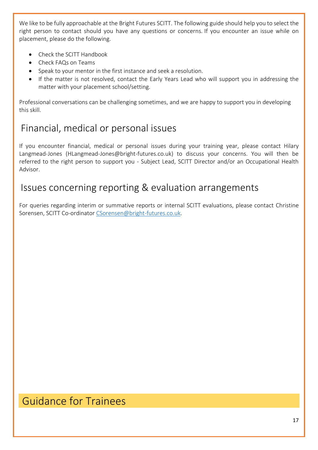We like to be fully approachable at the Bright Futures SCITT. The following guide should help you to select the right person to contact should you have any questions or concerns. If you encounter an issue while on placement, please do the following.

- Check the SCITT Handbook
- Check FAQs on Teams
- Speak to your mentor in the first instance and seek a resolution.
- If the matter is not resolved, contact the Early Years Lead who will support you in addressing the matter with your placement school/setting.

Professional conversations can be challenging sometimes, and we are happy to support you in developing this skill.

# Financial, medical or personal issues

If you encounter financial, medical or personal issues during your training year, please contact Hilary Langmead-Jones (HLangmead-Jones@bright-futures.co.uk) to discuss your concerns. You will then be referred to the right person to support you - Subject Lead, SCITT Director and/or an Occupational Health Advisor.

### Issues concerning reporting & evaluation arrangements

For queries regarding interim or summative reports or internal SCITT evaluations, please contact Christine Sorensen, SCITT Co-ordinator [CSorensen@bright-futures.co.uk.](mailto:CSorensen@bright-futures.co.uk)

# Guidance for Trainees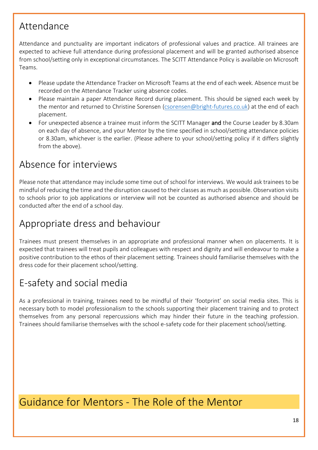### Attendance

Attendance and punctuality are important indicators of professional values and practice. All trainees are expected to achieve full attendance during professional placement and will be granted authorised absence from school/setting only in exceptional circumstances. The SCITT Attendance Policy is available on Microsoft Teams.

- Please update the Attendance Tracker on Microsoft Teams at the end of each week. Absence must be recorded on the Attendance Tracker using absence codes.
- Please maintain a paper Attendance Record during placement. This should be signed each week by the mentor and returned to Christine Sorensen [\(csorensen@bright-futures.co.uk\)](mailto:csorensen@bright-futures.co.uk) at the end of each placement.
- For unexpected absence a trainee must inform the SCITT Manager and the Course Leader by 8.30am on each day of absence, and your Mentor by the time specified in school/setting attendance policies or 8.30am, whichever is the earlier. (Please adhere to your school/setting policy if it differs slightly from the above).

### Absence for interviews

Please note that attendance may include some time out of school for interviews. We would ask trainees to be mindful of reducing the time and the disruption caused to their classes as much as possible. Observation visits to schools prior to job applications or interview will not be counted as authorised absence and should be conducted after the end of a school day.

# Appropriate dress and behaviour

Trainees must present themselves in an appropriate and professional manner when on placements. It is expected that trainees will treat pupils and colleagues with respect and dignity and will endeavour to make a positive contribution to the ethos of their placement setting. Trainees should familiarise themselves with the dress code for their placement school/setting.

# E-safety and social media

As a professional in training, trainees need to be mindful of their 'footprint' on social media sites. This is necessary both to model professionalism to the schools supporting their placement training and to protect themselves from any personal repercussions which may hinder their future in the teaching profession. Trainees should familiarise themselves with the school e-safety code for their placement school/setting.

# Guidance for Mentors - The Role of the Mentor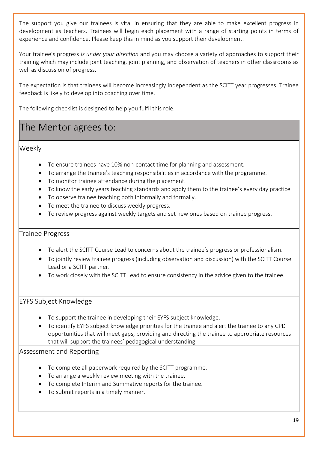The support you give our trainees is vital in ensuring that they are able to make excellent progress in development as teachers. Trainees will begin each placement with a range of starting points in terms of experience and confidence. Please keep this in mind as you support their development.

Your trainee's progress *is under your direction* and you may choose a variety of approaches to support their training which may include joint teaching, joint planning, and observation of teachers in other classrooms as well as discussion of progress.

The expectation is that trainees will become increasingly independent as the SCITT year progresses. Trainee feedback is likely to develop into coaching over time.

The following checklist is designed to help you fulfil this role.

#### The Mentor agrees to:

Weekly

- To ensure trainees have 10% non-contact time for planning and assessment.
- To arrange the trainee's teaching responsibilities in accordance with the programme.
- To monitor trainee attendance during the placement.
- To know the early years teaching standards and apply them to the trainee's every day practice.
- To observe trainee teaching both informally and formally.
- To meet the trainee to discuss weekly progress.
- To review progress against weekly targets and set new ones based on trainee progress.

#### Trainee Progress

- To alert the SCITT Course Lead to concerns about the trainee's progress or professionalism.
- To jointly review trainee progress (including observation and discussion) with the SCITT Course Lead or a SCITT partner.
- To work closely with the SCITT Lead to ensure consistency in the advice given to the trainee.

#### EYFS Subject Knowledge

- To support the trainee in developing their EYFS subject knowledge.
- To identify EYFS subject knowledge priorities for the trainee and alert the trainee to any CPD opportunities that will meet gaps, providing and directing the trainee to appropriate resources that will support the trainees' pedagogical understanding.

#### Assessment and Reporting

- To complete all paperwork required by the SCITT programme.
- To arrange a weekly review meeting with the trainee.
- To complete Interim and Summative reports for the trainee.
- To submit reports in a timely manner.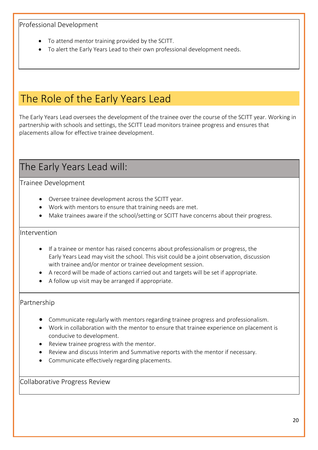#### Professional Development

- To attend mentor training provided by the SCITT.
- To alert the Early Years Lead to their own professional development needs.

# The Role of the Early Years Lead

The Early Years Lead oversees the development of the trainee over the course of the SCITT year. Working in partnership with schools and settings, the SCITT Lead monitors trainee progress and ensures that placements allow for effective trainee development.

# The Early Years Lead will:

Trainee Development

- Oversee trainee development across the SCITT year.
- Work with mentors to ensure that training needs are met.
- Make trainees aware if the school/setting or SCITT have concerns about their progress.

#### Intervention

- If a trainee or mentor has raised concerns about professionalism or progress, the Early Years Lead may visit the school. This visit could be a joint observation, discussion with trainee and/or mentor or trainee development session.
- A record will be made of actions carried out and targets will be set if appropriate.
- A follow up visit may be arranged if appropriate.

#### Partnership

- Communicate regularly with mentors regarding trainee progress and professionalism.
- Work in collaboration with the mentor to ensure that trainee experience on placement is conducive to development.
- Review trainee progress with the mentor.
- Review and discuss Interim and Summative reports with the mentor if necessary.
- Communicate effectively regarding placements.

Collaborative Progress Review